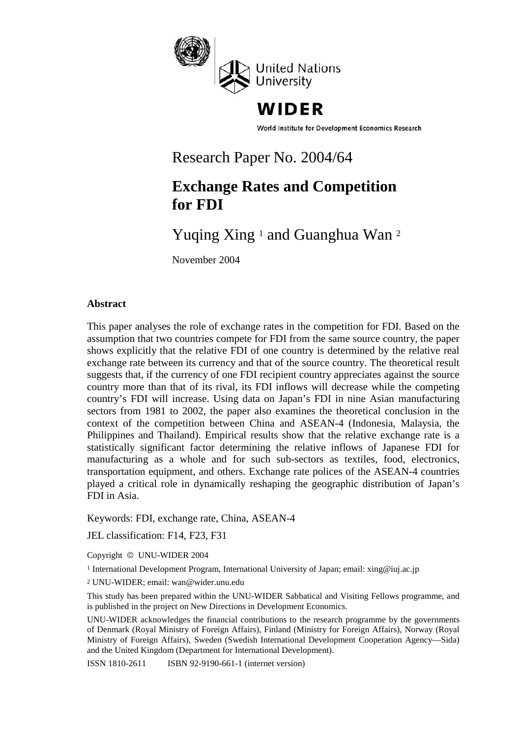

# WIDER

World Institute for Development Economics Research

## Research Paper No. 2004/64

# **Exchange Rates and Competition for FDI**

# Yuqing Xing <sup>1</sup> and Guanghua Wan <sup>2</sup>

November 2004

### **Abstract**

This paper analyses the role of exchange rates in the competition for FDI. Based on the assumption that two countries compete for FDI from the same source country, the paper shows explicitly that the relative FDI of one country is determined by the relative real exchange rate between its currency and that of the source country. The theoretical result suggests that, if the currency of one FDI recipient country appreciates against the source country more than that of its rival, its FDI inflows will decrease while the competing country's FDI will increase. Using data on Japan's FDI in nine Asian manufacturing sectors from 1981 to 2002, the paper also examines the theoretical conclusion in the context of the competition between China and ASEAN-4 (Indonesia, Malaysia, the Philippines and Thailand). Empirical results show that the relative exchange rate is a statistically significant factor determining the relative inflows of Japanese FDI for manufacturing as a whole and for such sub-sectors as textiles, food, electronics, transportation equipment, and others. Exchange rate polices of the ASEAN-4 countries played a critical role in dynamically reshaping the geographic distribution of Japan's FDI in Asia.

Keywords: FDI, exchange rate, China, ASEAN-4

JEL classification: F14, F23, F31

Copyright © UNU-WIDER 2004

<sup>1</sup> International Development Program, International University of Japan; email: xing@iuj.ac.jp

<sup>2</sup> UNU-WIDER; email: wan@wider.unu.edu

This study has been prepared within the UNU-WIDER Sabbatical and Visiting Fellows programme, and is published in the project on New Directions in Development Economics.

UNU-WIDER acknowledges the financial contributions to the research programme by the governments of Denmark (Royal Ministry of Foreign Affairs), Finland (Ministry for Foreign Affairs), Norway (Royal Ministry of Foreign Affairs), Sweden (Swedish International Development Cooperation Agency—Sida) and the United Kingdom (Department for International Development).

ISSN 1810-2611 ISBN 92-9190-661-1 (internet version)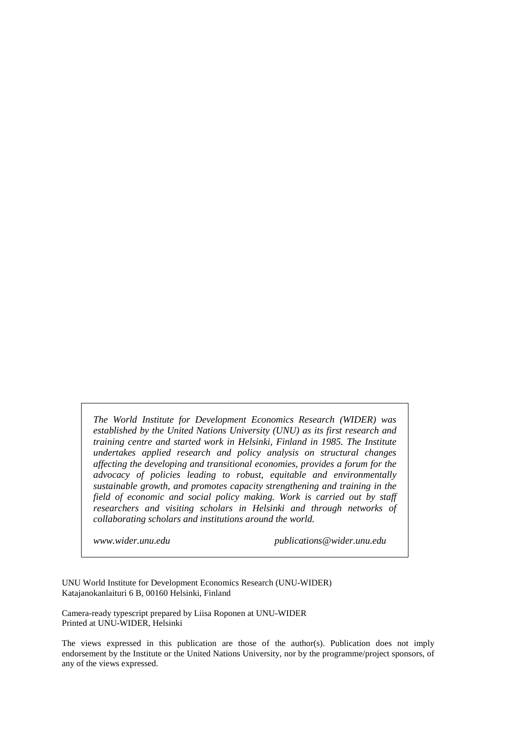*The World Institute for Development Economics Research (WIDER) was established by the United Nations University (UNU) as its first research and training centre and started work in Helsinki, Finland in 1985. The Institute undertakes applied research and policy analysis on structural changes affecting the developing and transitional economies, provides a forum for the advocacy of policies leading to robust, equitable and environmentally sustainable growth, and promotes capacity strengthening and training in the field of economic and social policy making. Work is carried out by staff researchers and visiting scholars in Helsinki and through networks of collaborating scholars and institutions around the world.*

*www.wider.unu.edu publications@wider.unu.edu*

UNU World Institute for Development Economics Research (UNU-WIDER) Katajanokanlaituri 6 B, 00160 Helsinki, Finland

Camera-ready typescript prepared by Liisa Roponen at UNU-WIDER Printed at UNU-WIDER, Helsinki

The views expressed in this publication are those of the author(s). Publication does not imply endorsement by the Institute or the United Nations University, nor by the programme/project sponsors, of any of the views expressed.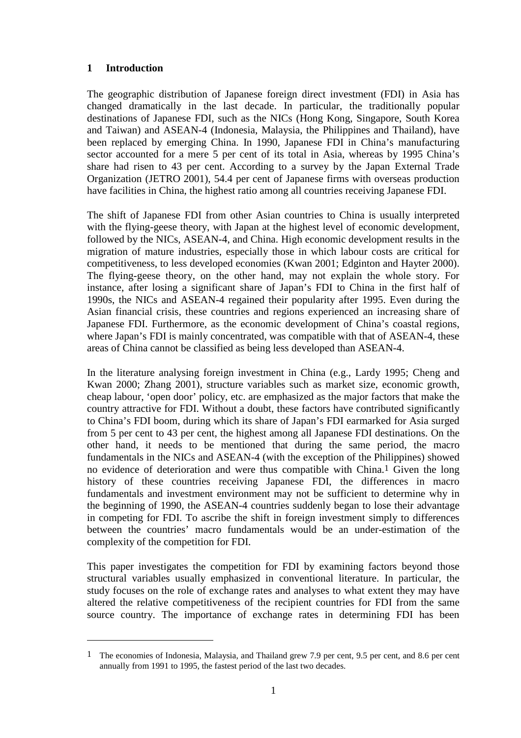### **1 Introduction**

The geographic distribution of Japanese foreign direct investment (FDI) in Asia has changed dramatically in the last decade. In particular, the traditionally popular destinations of Japanese FDI, such as the NICs (Hong Kong, Singapore, South Korea and Taiwan) and ASEAN-4 (Indonesia, Malaysia, the Philippines and Thailand), have been replaced by emerging China. In 1990, Japanese FDI in China's manufacturing sector accounted for a mere 5 per cent of its total in Asia, whereas by 1995 China's share had risen to 43 per cent. According to a survey by the Japan External Trade Organization (JETRO 2001), 54.4 per cent of Japanese firms with overseas production have facilities in China, the highest ratio among all countries receiving Japanese FDI.

The shift of Japanese FDI from other Asian countries to China is usually interpreted with the flying-geese theory, with Japan at the highest level of economic development, followed by the NICs, ASEAN-4, and China. High economic development results in the migration of mature industries, especially those in which labour costs are critical for competitiveness, to less developed economies (Kwan 2001; Edginton and Hayter 2000). The flying-geese theory, on the other hand, may not explain the whole story. For instance, after losing a significant share of Japan's FDI to China in the first half of 1990s, the NICs and ASEAN-4 regained their popularity after 1995. Even during the Asian financial crisis, these countries and regions experienced an increasing share of Japanese FDI. Furthermore, as the economic development of China's coastal regions, where Japan's FDI is mainly concentrated, was compatible with that of ASEAN-4, these areas of China cannot be classified as being less developed than ASEAN-4.

In the literature analysing foreign investment in China (e.g., Lardy 1995; Cheng and Kwan 2000; Zhang 2001), structure variables such as market size, economic growth, cheap labour, 'open door' policy, etc. are emphasized as the major factors that make the country attractive for FDI. Without a doubt, these factors have contributed significantly to China's FDI boom, during which its share of Japan's FDI earmarked for Asia surged from 5 per cent to 43 per cent, the highest among all Japanese FDI destinations. On the other hand, it needs to be mentioned that during the same period, the macro fundamentals in the NICs and ASEAN-4 (with the exception of the Philippines) showed no evidence of deterioration and were thus compatible with China.1 Given the long history of these countries receiving Japanese FDI, the differences in macro fundamentals and investment environment may not be sufficient to determine why in the beginning of 1990, the ASEAN-4 countries suddenly began to lose their advantage in competing for FDI. To ascribe the shift in foreign investment simply to differences between the countries' macro fundamentals would be an under-estimation of the complexity of the competition for FDI.

This paper investigates the competition for FDI by examining factors beyond those structural variables usually emphasized in conventional literature. In particular, the study focuses on the role of exchange rates and analyses to what extent they may have altered the relative competitiveness of the recipient countries for FDI from the same source country. The importance of exchange rates in determining FDI has been

<sup>1</sup> The economies of Indonesia, Malaysia, and Thailand grew 7.9 per cent, 9.5 per cent, and 8.6 per cent annually from 1991 to 1995, the fastest period of the last two decades.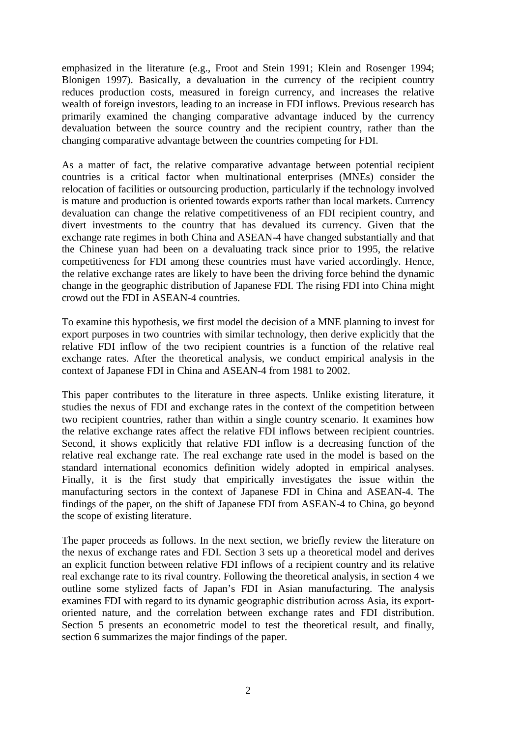emphasized in the literature (e.g., Froot and Stein 1991; Klein and Rosenger 1994; Blonigen 1997). Basically, a devaluation in the currency of the recipient country reduces production costs, measured in foreign currency, and increases the relative wealth of foreign investors, leading to an increase in FDI inflows. Previous research has primarily examined the changing comparative advantage induced by the currency devaluation between the source country and the recipient country, rather than the changing comparative advantage between the countries competing for FDI.

As a matter of fact, the relative comparative advantage between potential recipient countries is a critical factor when multinational enterprises (MNEs) consider the relocation of facilities or outsourcing production, particularly if the technology involved is mature and production is oriented towards exports rather than local markets. Currency devaluation can change the relative competitiveness of an FDI recipient country, and divert investments to the country that has devalued its currency. Given that the exchange rate regimes in both China and ASEAN-4 have changed substantially and that the Chinese yuan had been on a devaluating track since prior to 1995, the relative competitiveness for FDI among these countries must have varied accordingly. Hence, the relative exchange rates are likely to have been the driving force behind the dynamic change in the geographic distribution of Japanese FDI. The rising FDI into China might crowd out the FDI in ASEAN-4 countries.

To examine this hypothesis, we first model the decision of a MNE planning to invest for export purposes in two countries with similar technology, then derive explicitly that the relative FDI inflow of the two recipient countries is a function of the relative real exchange rates. After the theoretical analysis, we conduct empirical analysis in the context of Japanese FDI in China and ASEAN-4 from 1981 to 2002.

This paper contributes to the literature in three aspects. Unlike existing literature, it studies the nexus of FDI and exchange rates in the context of the competition between two recipient countries, rather than within a single country scenario. It examines how the relative exchange rates affect the relative FDI inflows between recipient countries. Second, it shows explicitly that relative FDI inflow is a decreasing function of the relative real exchange rate. The real exchange rate used in the model is based on the standard international economics definition widely adopted in empirical analyses. Finally, it is the first study that empirically investigates the issue within the manufacturing sectors in the context of Japanese FDI in China and ASEAN-4. The findings of the paper, on the shift of Japanese FDI from ASEAN-4 to China, go beyond the scope of existing literature.

The paper proceeds as follows. In the next section, we briefly review the literature on the nexus of exchange rates and FDI. Section 3 sets up a theoretical model and derives an explicit function between relative FDI inflows of a recipient country and its relative real exchange rate to its rival country. Following the theoretical analysis, in section 4 we outline some stylized facts of Japan's FDI in Asian manufacturing. The analysis examines FDI with regard to its dynamic geographic distribution across Asia, its exportoriented nature, and the correlation between exchange rates and FDI distribution. Section 5 presents an econometric model to test the theoretical result, and finally, section 6 summarizes the major findings of the paper.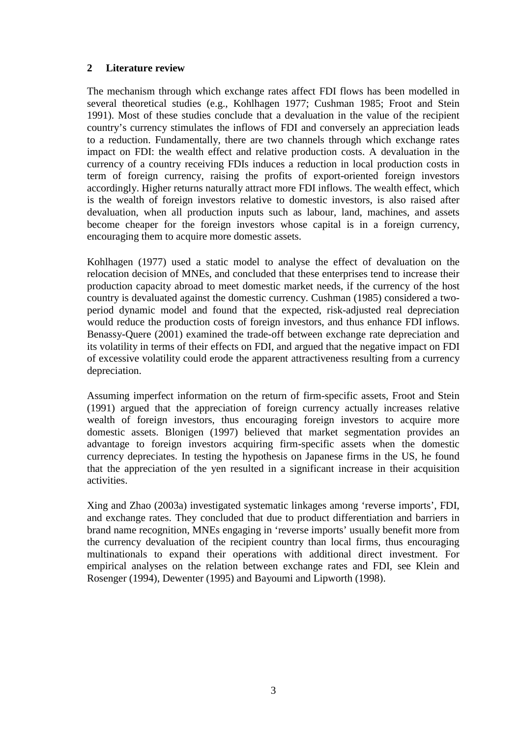### **2 Literature review**

The mechanism through which exchange rates affect FDI flows has been modelled in several theoretical studies (e.g., Kohlhagen 1977; Cushman 1985; Froot and Stein 1991). Most of these studies conclude that a devaluation in the value of the recipient country's currency stimulates the inflows of FDI and conversely an appreciation leads to a reduction. Fundamentally, there are two channels through which exchange rates impact on FDI: the wealth effect and relative production costs. A devaluation in the currency of a country receiving FDIs induces a reduction in local production costs in term of foreign currency, raising the profits of export-oriented foreign investors accordingly. Higher returns naturally attract more FDI inflows. The wealth effect, which is the wealth of foreign investors relative to domestic investors, is also raised after devaluation, when all production inputs such as labour, land, machines, and assets become cheaper for the foreign investors whose capital is in a foreign currency, encouraging them to acquire more domestic assets.

Kohlhagen (1977) used a static model to analyse the effect of devaluation on the relocation decision of MNEs, and concluded that these enterprises tend to increase their production capacity abroad to meet domestic market needs, if the currency of the host country is devaluated against the domestic currency. Cushman (1985) considered a twoperiod dynamic model and found that the expected, risk-adjusted real depreciation would reduce the production costs of foreign investors, and thus enhance FDI inflows. Benassy-Quere (2001) examined the trade-off between exchange rate depreciation and its volatility in terms of their effects on FDI, and argued that the negative impact on FDI of excessive volatility could erode the apparent attractiveness resulting from a currency depreciation.

Assuming imperfect information on the return of firm-specific assets, Froot and Stein (1991) argued that the appreciation of foreign currency actually increases relative wealth of foreign investors, thus encouraging foreign investors to acquire more domestic assets. Blonigen (1997) believed that market segmentation provides an advantage to foreign investors acquiring firm-specific assets when the domestic currency depreciates. In testing the hypothesis on Japanese firms in the US, he found that the appreciation of the yen resulted in a significant increase in their acquisition activities.

Xing and Zhao (2003a) investigated systematic linkages among 'reverse imports', FDI, and exchange rates. They concluded that due to product differentiation and barriers in brand name recognition, MNEs engaging in 'reverse imports' usually benefit more from the currency devaluation of the recipient country than local firms, thus encouraging multinationals to expand their operations with additional direct investment. For empirical analyses on the relation between exchange rates and FDI, see Klein and Rosenger (1994), Dewenter (1995) and Bayoumi and Lipworth (1998).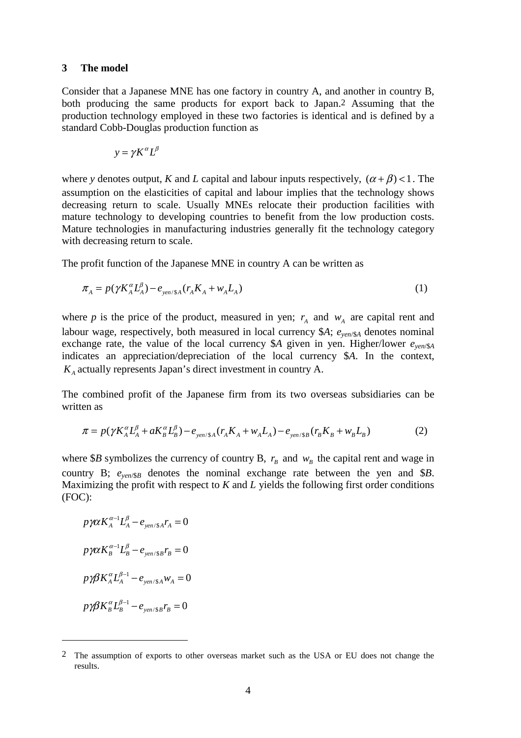#### **3 The model**

Consider that a Japanese MNE has one factory in country A, and another in country B, both producing the same products for export back to Japan.2 Assuming that the production technology employed in these two factories is identical and is defined by a standard Cobb-Douglas production function as

$$
y = \gamma K^{\alpha} L^{\beta}
$$

where *y* denotes output, *K* and *L* capital and labour inputs respectively,  $(\alpha + \beta) < 1$ . The assumption on the elasticities of capital and labour implies that the technology shows decreasing return to scale. Usually MNEs relocate their production facilities with mature technology to developing countries to benefit from the low production costs. Mature technologies in manufacturing industries generally fit the technology category with decreasing return to scale.

The profit function of the Japanese MNE in country A can be written as

$$
\pi_A = p(\gamma K_A^{\alpha} L_A^{\beta}) - e_{\gamma en / \$A} (r_A K_A + w_A L_A)
$$
\n<sup>(1)</sup>

where *p* is the price of the product, measured in yen;  $r_A$  and  $w_A$  are capital rent and labour wage, respectively, both measured in local currency  $A$ ;  $e_{\text{ven}}/A$  denotes nominal exchange rate, the value of the local currency \$*A* given in yen. Higher/lower  $e_{\text{yen/$}A}$ indicates an appreciation/depreciation of the local currency \$*A*. In the context,  $K_A$  actually represents Japan's direct investment in country A.

The combined profit of the Japanese firm from its two overseas subsidiaries can be written as

$$
\pi = p(\gamma K_A^{\alpha} L_A^{\beta} + aK_B^{\alpha} L_B^{\beta}) - e_{\text{gen/sA}}(r_A K_A + w_A L_A) - e_{\text{gen/sB}}(r_B K_B + w_B L_B)
$$
(2)

where \$*B* symbolizes the currency of country B,  $r_B$  and  $w_B$  the capital rent and wage in country B;  $e_{\text{ven}}$ /<sub>8</sub> denotes the nominal exchange rate between the yen and \$*B*. Maximizing the profit with respect to *K* and *L* yields the following first order conditions (FOC):

$$
p\gamma\alpha K_A^{\alpha-1}L_A^{\beta} - e_{\gamma en/SA}r_A = 0
$$
  

$$
p\gamma\alpha K_B^{\alpha-1}L_B^{\beta} - e_{\gamma en/SB}r_B = 0
$$
  

$$
p\gamma\beta K_A^{\alpha}L_A^{\beta-1} - e_{\gamma en/SA}w_A = 0
$$
  

$$
p\gamma\beta K_B^{\alpha}L_B^{\beta-1} - e_{\gamma en/SB}r_B = 0
$$

<sup>2</sup> The assumption of exports to other overseas market such as the USA or EU does not change the results.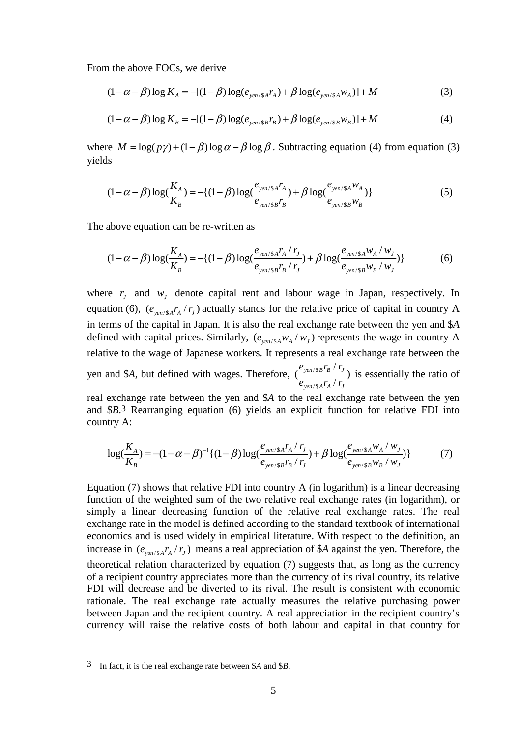From the above FOCs, we derive

$$
(1 - \alpha - \beta) \log K_A = -[(1 - \beta) \log(e_{\text{gen/sA}} r_A) + \beta \log(e_{\text{gen/sA}} w_A)] + M \tag{3}
$$

$$
(1 - \alpha - \beta) \log K_B = -[(1 - \beta) \log(e_{\text{gen/sB}}r_B) + \beta \log(e_{\text{gen/sB}}w_B)] + M \tag{4}
$$

where  $M = \log(p\gamma) + (1 - \beta) \log \alpha - \beta \log \beta$ . Subtracting equation (4) from equation (3) yields

$$
(1 - \alpha - \beta) \log(\frac{K_A}{K_B}) = -\{(1 - \beta) \log(\frac{e_{\text{yen}} / s_A r_A}{e_{\text{yen}} / s_B r_B}) + \beta \log(\frac{e_{\text{yen}} / s_A w_A}{e_{\text{yen}} / s_B w_B})\}\)
$$
(5)

The above equation can be re-written as

$$
(1 - \alpha - \beta) \log(\frac{K_A}{K_B}) = -\{(1 - \beta) \log(\frac{e_{\text{yen}}/s_A r_A / r_J}{e_{\text{yen}}/s_B r_B / r_J}) + \beta \log(\frac{e_{\text{yen}}/s_A w_A / w_J}{e_{\text{yen}}/s_B w_B / w_J})\})
$$
(6)

where  $r_i$  and  $w_j$  denote capital rent and labour wage in Japan, respectively. In equation (6),  $(e_{\text{gen/sA}}r_A/r_J)$  actually stands for the relative price of capital in country A in terms of the capital in Japan. It is also the real exchange rate between the yen and \$*A* defined with capital prices. Similarly,  $(e_{\text{ven/sA}} w_A / w_I)$  represents the wage in country A relative to the wage of Japanese workers. It represents a real exchange rate between the yen and \$*A*, but defined with wages. Therefore,  $\frac{C_{\text{yen}}/\$}{\sqrt{\frac{C_{\text{yen}}^2}{S}}}$ /\$ /  $(\frac{\epsilon_{\textit{yen}}\langle \S{B'B}^T\rangle}{\epsilon_{\textit{ven}}\langle \S{A}{T_A}^T\rangle}$ *yen* / \$ *A*  $'$  *A*  $'$  *J*  $e_{\frac{ven}{sB}}r_{\frac{R}{r}}/r$  $e_{\text{ven/s}}$  $r_{\text{A}}$ / $r$ is essentially the ratio of

real exchange rate between the yen and \$*A* to the real exchange rate between the yen and \$*B*.3 Rearranging equation (6) yields an explicit function for relative FDI into country A:

$$
\log(\frac{K_A}{K_B}) = -(1 - \alpha - \beta)^{-1} \{ (1 - \beta) \log(\frac{e_{\text{yen}}/s_A r_A / r_J}{e_{\text{yen}}/s_B r_B / r_J}) + \beta \log(\frac{e_{\text{yen}}/s_A w_A / w_J}{e_{\text{yen}}/s_B w_B / w_J}) \}
$$
(7)

Equation (7) shows that relative FDI into country A (in logarithm) is a linear decreasing function of the weighted sum of the two relative real exchange rates (in logarithm), or simply a linear decreasing function of the relative real exchange rates. The real exchange rate in the model is defined according to the standard textbook of international economics and is used widely in empirical literature. With respect to the definition, an increase in  $(e_{\text{versa}}r_A/r_I)$  means a real appreciation of \$*A* against the yen. Therefore, the theoretical relation characterized by equation (7) suggests that, as long as the currency of a recipient country appreciates more than the currency of its rival country, its relative FDI will decrease and be diverted to its rival. The result is consistent with economic rationale. The real exchange rate actually measures the relative purchasing power between Japan and the recipient country. A real appreciation in the recipient country's currency will raise the relative costs of both labour and capital in that country for

<sup>3</sup> In fact, it is the real exchange rate between \$*A* and \$*B*.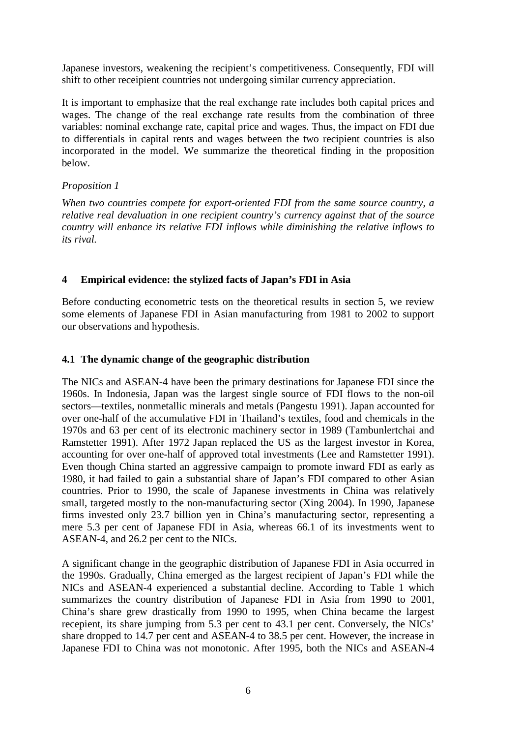Japanese investors, weakening the recipient's competitiveness. Consequently, FDI will shift to other receipient countries not undergoing similar currency appreciation.

It is important to emphasize that the real exchange rate includes both capital prices and wages. The change of the real exchange rate results from the combination of three variables: nominal exchange rate, capital price and wages. Thus, the impact on FDI due to differentials in capital rents and wages between the two recipient countries is also incorporated in the model. We summarize the theoretical finding in the proposition below.

### *Proposition 1*

*When two countries compete for export-oriented FDI from the same source country*, *a relative real devaluation in one recipient country's currency against that of the source country will enhance its relative FDI inflows while diminishing the relative inflows to its rival.*

## **4 Empirical evidence: the stylized facts of Japan's FDI in Asia**

Before conducting econometric tests on the theoretical results in section 5, we review some elements of Japanese FDI in Asian manufacturing from 1981 to 2002 to support our observations and hypothesis.

## **4.1 The dynamic change of the geographic distribution**

The NICs and ASEAN-4 have been the primary destinations for Japanese FDI since the 1960s. In Indonesia, Japan was the largest single source of FDI flows to the non-oil sectors—textiles, nonmetallic minerals and metals (Pangestu 1991). Japan accounted for over one-half of the accumulative FDI in Thailand's textiles, food and chemicals in the 1970s and 63 per cent of its electronic machinery sector in 1989 (Tambunlertchai and Ramstetter 1991). After 1972 Japan replaced the US as the largest investor in Korea, accounting for over one-half of approved total investments (Lee and Ramstetter 1991). Even though China started an aggressive campaign to promote inward FDI as early as 1980, it had failed to gain a substantial share of Japan's FDI compared to other Asian countries. Prior to 1990, the scale of Japanese investments in China was relatively small, targeted mostly to the non-manufacturing sector (Xing 2004). In 1990, Japanese firms invested only 23.7 billion yen in China's manufacturing sector, representing a mere 5.3 per cent of Japanese FDI in Asia, whereas 66.1 of its investments went to ASEAN-4, and 26.2 per cent to the NICs.

A significant change in the geographic distribution of Japanese FDI in Asia occurred in the 1990s. Gradually, China emerged as the largest recipient of Japan's FDI while the NICs and ASEAN-4 experienced a substantial decline. According to Table 1 which summarizes the country distribution of Japanese FDI in Asia from 1990 to 2001, China's share grew drastically from 1990 to 1995, when China became the largest recepient, its share jumping from 5.3 per cent to 43.1 per cent. Conversely, the NICs' share dropped to 14.7 per cent and ASEAN-4 to 38.5 per cent. However, the increase in Japanese FDI to China was not monotonic. After 1995, both the NICs and ASEAN-4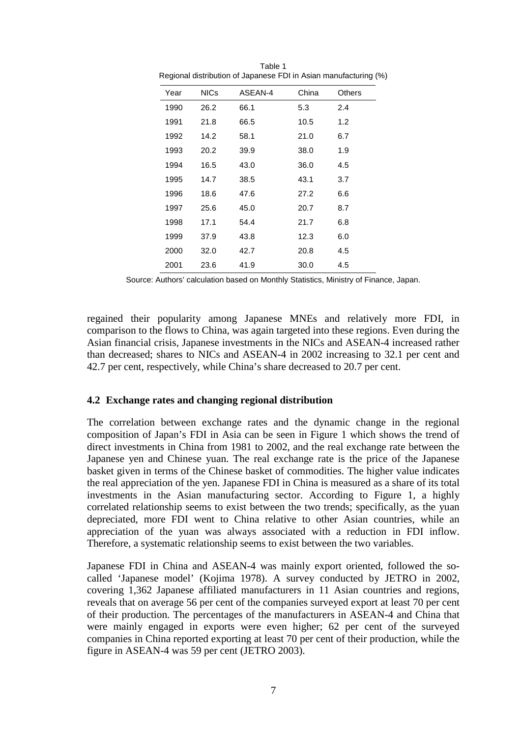| Year | <b>NICs</b> | ASEAN-4 | China | <b>Others</b> |
|------|-------------|---------|-------|---------------|
| 1990 | 26.2        | 66.1    | 5.3   | 2.4           |
| 1991 | 21.8        | 66.5    | 10.5  | 1.2           |
| 1992 | 14.2        | 58.1    | 21.0  | 6.7           |
| 1993 | 20.2        | 39.9    | 38.0  | 1.9           |
| 1994 | 16.5        | 43.0    | 36.0  | 4.5           |
| 1995 | 14.7        | 38.5    | 43.1  | 3.7           |
| 1996 | 18.6        | 47.6    | 27.2  | 6.6           |
| 1997 | 25.6        | 45.0    | 20.7  | 8.7           |
| 1998 | 17.1        | 54.4    | 21.7  | 6.8           |
| 1999 | 37.9        | 43.8    | 12.3  | 6.0           |
| 2000 | 32.0        | 42.7    | 20.8  | 4.5           |
| 2001 | 23.6        | 41.9    | 30.0  | 4.5           |
|      |             |         |       |               |

Table 1 Regional distribution of Japanese FDI in Asian manufacturing (%)

Source: Authors' calculation based on Monthly Statistics, Ministry of Finance, Japan.

regained their popularity among Japanese MNEs and relatively more FDI, in comparison to the flows to China, was again targeted into these regions. Even during the Asian financial crisis, Japanese investments in the NICs and ASEAN-4 increased rather than decreased; shares to NICs and ASEAN-4 in 2002 increasing to 32.1 per cent and 42.7 per cent, respectively, while China's share decreased to 20.7 per cent.

#### **4.2 Exchange rates and changing regional distribution**

The correlation between exchange rates and the dynamic change in the regional composition of Japan's FDI in Asia can be seen in Figure 1 which shows the trend of direct investments in China from 1981 to 2002, and the real exchange rate between the Japanese yen and Chinese yuan. The real exchange rate is the price of the Japanese basket given in terms of the Chinese basket of commodities. The higher value indicates the real appreciation of the yen. Japanese FDI in China is measured as a share of its total investments in the Asian manufacturing sector. According to Figure 1, a highly correlated relationship seems to exist between the two trends; specifically, as the yuan depreciated, more FDI went to China relative to other Asian countries, while an appreciation of the yuan was always associated with a reduction in FDI inflow. Therefore, a systematic relationship seems to exist between the two variables.

Japanese FDI in China and ASEAN-4 was mainly export oriented, followed the socalled 'Japanese model' (Kojima 1978). A survey conducted by JETRO in 2002, covering 1,362 Japanese affiliated manufacturers in 11 Asian countries and regions, reveals that on average 56 per cent of the companies surveyed export at least 70 per cent of their production. The percentages of the manufacturers in ASEAN-4 and China that were mainly engaged in exports were even higher; 62 per cent of the surveyed companies in China reported exporting at least 70 per cent of their production, while the figure in ASEAN-4 was 59 per cent (JETRO 2003).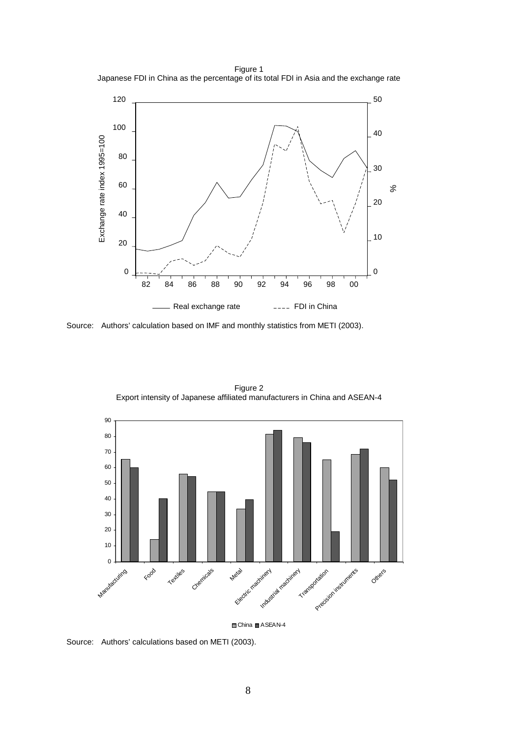Figure 1 Japanese FDI in China as the percentage of its total FDI in Asia and the exchange rate



Source: Authors' calculation based on IMF and monthly statistics from METI (2003).



Figure 2 Export intensity of Japanese affiliated manufacturers in China and ASEAN-4

 $\Box$  China  $\Box$  ASEAN-4

Source: Authors' calculations based on METI (2003).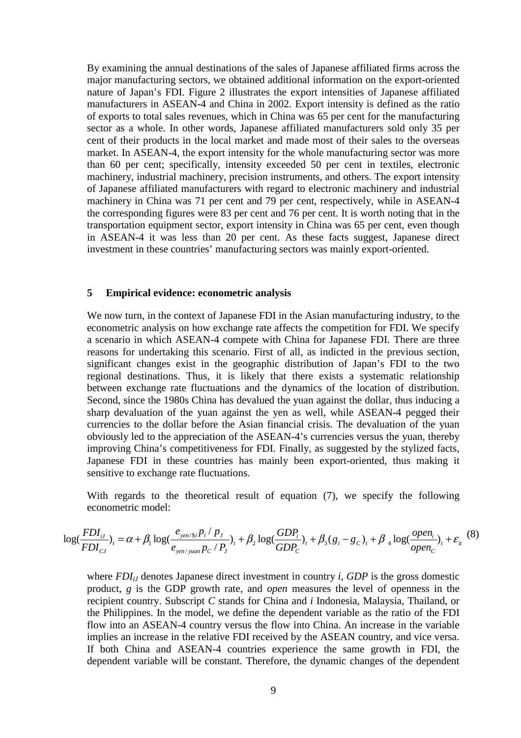By examining the annual destinations of the sales of Japanese affiliated firms across the major manufacturing sectors, we obtained additional information on the export-oriented nature of Japan's FDI. Figure 2 illustrates the export intensities of Japanese affiliated manufacturers in ASEAN-4 and China in 2002. Export intensity is defined as the ratio of exports to total sales revenues, which in China was 65 per cent for the manufacturing sector as a whole. In other words, Japanese affiliated manufacturers sold only 35 per cent of their products in the local market and made most of their sales to the overseas market. In ASEAN-4, the export intensity for the whole manufacturing sector was more than 60 per cent; specifically, intensity exceeded 50 per cent in textiles, electronic machinery, industrial machinery, precision instruments, and others. The export intensity of Japanese affiliated manufacturers with regard to electronic machinery and industrial machinery in China was 71 per cent and 79 per cent, respectively, while in ASEAN-4 the corresponding figures were 83 per cent and 76 per cent. It is worth noting that in the transportation equipment sector, export intensity in China was 65 per cent, even though in ASEAN-4 it was less than 20 per cent. As these facts suggest, Japanese direct investment in these countries' manufacturing sectors was mainly export-oriented.

#### **5 Empirical evidence: econometric analysis**

We now turn, in the context of Japanese FDI in the Asian manufacturing industry, to the econometric analysis on how exchange rate affects the competition for FDI. We specify a scenario in which ASEAN-4 compete with China for Japanese FDI. There are three reasons for undertaking this scenario. First of all, as indicted in the previous section, significant changes exist in the geographic distribution of Japan's FDI to the two regional destinations. Thus, it is likely that there exists a systematic relationship between exchange rate fluctuations and the dynamics of the location of distribution. Second, since the 1980s China has devalued the yuan against the dollar, thus inducing a sharp devaluation of the yuan against the yen as well, while ASEAN-4 pegged their currencies to the dollar before the Asian financial crisis. The devaluation of the yuan obviously led to the appreciation of the ASEAN-4's currencies versus the yuan, thereby improving China's competitiveness for FDI. Finally, as suggested by the stylized facts, Japanese FDI in these countries has mainly been export-oriented, thus making it sensitive to exchange rate fluctuations.

With regards to the theoretical result of equation (7), we specify the following econometric model:

$$
\log(\frac{FDI_{iJ}}{FDI_{CJ}})_{t} = \alpha + \beta_{1} \log(\frac{e_{\text{yen}}/s_{i}P_{i} / P_{J}}{e_{\text{yen}}/s_{\text{uan}}P_{C} / P_{J}})_{t} + \beta_{2} \log(\frac{GDP_{i}}{GDP_{C}})_{t} + \beta_{3}(g_{i} - g_{C})_{t} + \beta_{4} \log(\frac{open_{i}}{open_{C}})_{t} + \varepsilon_{it} \tag{8}
$$

where *FDI<sub>iJ</sub>* denotes Japanese direct investment in country *i*, *GDP* is the gross domestic product, *g* is the GDP growth rate, and *open* measures the level of openness in the recipient country. Subscript *C* stands for China and *i* Indonesia, Malaysia, Thailand, or the Philippines. In the model, we define the dependent variable as the ratio of the FDI flow into an ASEAN-4 country versus the flow into China. An increase in the variable implies an increase in the relative FDI received by the ASEAN country, and vice versa. If both China and ASEAN-4 countries experience the same growth in FDI, the dependent variable will be constant. Therefore, the dynamic changes of the dependent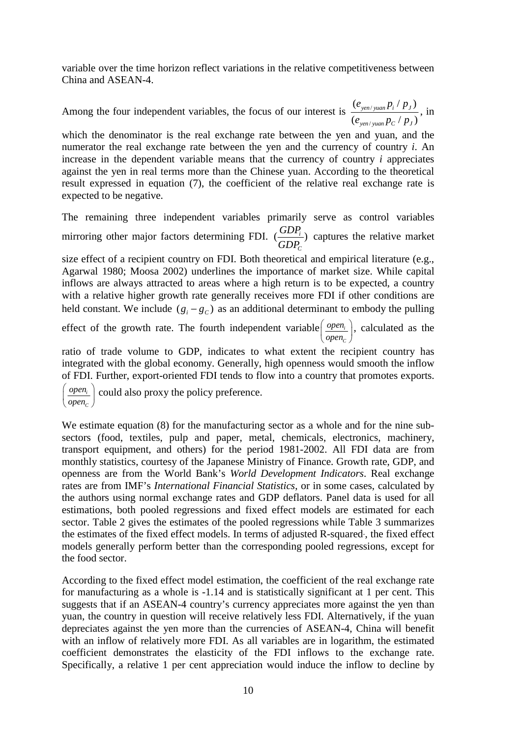variable over the time horizon reflect variations in the relative competitiveness between China and ASEAN-4.

Among the four independent variables, the focus of our interest is  $\frac{e_{\text{yen}}}{\sqrt{e_{\text{yen}}}}$ /  $(e_{\text{ven/vuan}} p_i / p_j)$  $(e_{\text{ven/vuan}} p_C / p_I)$ *yen / yuan*  $Pi$ *i ′ <code>P</code> J yen yuan C J*  $e_{\text{ven}/\text{vuan}} p_i / p$  $e_{\rm{ven/vuan}} p_{\rm{c}}$  /  $p$ , in

which the denominator is the real exchange rate between the yen and yuan, and the numerator the real exchange rate between the yen and the currency of country *i*. An increase in the dependent variable means that the currency of country *i* appreciates against the yen in real terms more than the Chinese yuan. According to the theoretical result expressed in equation (7), the coefficient of the relative real exchange rate is expected to be negative.

The remaining three independent variables primarily serve as control variables mirroring other major factors determining FDI.  $\left(\frac{ODY_i}{CDD}\right)$ *C*  $\frac{GDP_i}{GDP_c}$  captures the relative market

size effect of a recipient country on FDI. Both theoretical and empirical literature (e.g., Agarwal 1980; Moosa 2002) underlines the importance of market size. While capital inflows are always attracted to areas where a high return is to be expected, a country with a relative higher growth rate generally receives more FDI if other conditions are held constant. We include  $(g_i - g_c)$  as an additional determinant to embody the pulling

effect of the growth rate. The fourth independent variable *open C open open*  $\left(\frac{open_i}{open_c}\right)$ , calculated as the

ratio of trade volume to GDP, indicates to what extent the recipient country has integrated with the global economy. Generally, high openness would smooth the inflow of FDI. Further, export-oriented FDI tends to flow into a country that promotes exports.

*i C open open*  $\left(\frac{open_i}{open_c}\right)$  could also proxy the policy preference.

We estimate equation (8) for the manufacturing sector as a whole and for the nine subsectors (food, textiles, pulp and paper, metal, chemicals, electronics, machinery, transport equipment, and others) for the period 1981-2002. All FDI data are from monthly statistics, courtesy of the Japanese Ministry of Finance. Growth rate, GDP, and openness are from the World Bank's *World Development Indicators*. Real exchange rates are from IMF's *International Financial Statistics*, or in some cases, calculated by the authors using normal exchange rates and GDP deflators. Panel data is used for all estimations, both pooled regressions and fixed effect models are estimated for each sector. Table 2 gives the estimates of the pooled regressions while Table 3 summarizes the estimates of the fixed effect models. In terms of adjusted R-squared-, the fixed effect models generally perform better than the corresponding pooled regressions, except for the food sector.

According to the fixed effect model estimation, the coefficient of the real exchange rate for manufacturing as a whole is -1.14 and is statistically significant at 1 per cent. This suggests that if an ASEAN-4 country's currency appreciates more against the yen than yuan, the country in question will receive relatively less FDI. Alternatively, if the yuan depreciates against the yen more than the currencies of ASEAN-4, China will benefit with an inflow of relatively more FDI. As all variables are in logarithm, the estimated coefficient demonstrates the elasticity of the FDI inflows to the exchange rate. Specifically, a relative 1 per cent appreciation would induce the inflow to decline by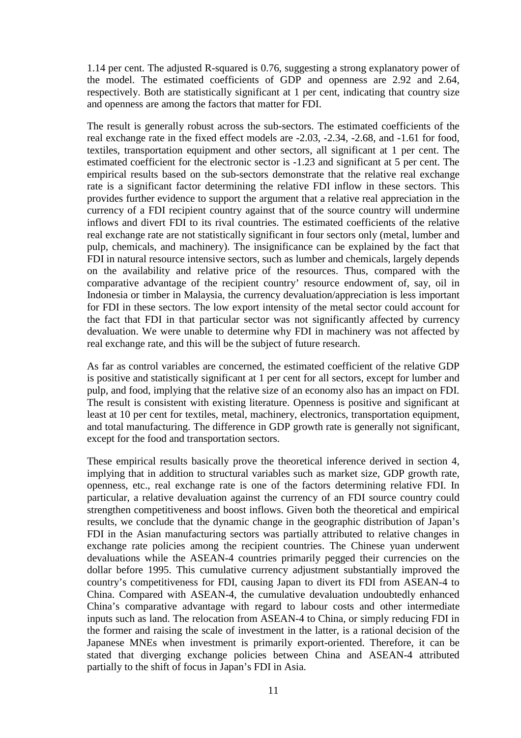1.14 per cent. The adjusted R-squared is 0.76, suggesting a strong explanatory power of the model. The estimated coefficients of GDP and openness are 2.92 and 2.64, respectively. Both are statistically significant at 1 per cent, indicating that country size and openness are among the factors that matter for FDI.

The result is generally robust across the sub-sectors. The estimated coefficients of the real exchange rate in the fixed effect models are -2.03, -2.34, -2.68, and -1.61 for food, textiles, transportation equipment and other sectors, all significant at 1 per cent. The estimated coefficient for the electronic sector is -1.23 and significant at 5 per cent. The empirical results based on the sub-sectors demonstrate that the relative real exchange rate is a significant factor determining the relative FDI inflow in these sectors. This provides further evidence to support the argument that a relative real appreciation in the currency of a FDI recipient country against that of the source country will undermine inflows and divert FDI to its rival countries. The estimated coefficients of the relative real exchange rate are not statistically significant in four sectors only (metal, lumber and pulp, chemicals, and machinery). The insignificance can be explained by the fact that FDI in natural resource intensive sectors, such as lumber and chemicals, largely depends on the availability and relative price of the resources. Thus, compared with the comparative advantage of the recipient country' resource endowment of, say, oil in Indonesia or timber in Malaysia, the currency devaluation/appreciation is less important for FDI in these sectors. The low export intensity of the metal sector could account for the fact that FDI in that particular sector was not significantly affected by currency devaluation. We were unable to determine why FDI in machinery was not affected by real exchange rate, and this will be the subject of future research.

As far as control variables are concerned, the estimated coefficient of the relative GDP is positive and statistically significant at 1 per cent for all sectors, except for lumber and pulp, and food, implying that the relative size of an economy also has an impact on FDI. The result is consistent with existing literature. Openness is positive and significant at least at 10 per cent for textiles, metal, machinery, electronics, transportation equipment, and total manufacturing. The difference in GDP growth rate is generally not significant, except for the food and transportation sectors.

These empirical results basically prove the theoretical inference derived in section 4, implying that in addition to structural variables such as market size, GDP growth rate, openness, etc., real exchange rate is one of the factors determining relative FDI. In particular, a relative devaluation against the currency of an FDI source country could strengthen competitiveness and boost inflows. Given both the theoretical and empirical results, we conclude that the dynamic change in the geographic distribution of Japan's FDI in the Asian manufacturing sectors was partially attributed to relative changes in exchange rate policies among the recipient countries. The Chinese yuan underwent devaluations while the ASEAN-4 countries primarily pegged their currencies on the dollar before 1995. This cumulative currency adjustment substantially improved the country's competitiveness for FDI, causing Japan to divert its FDI from ASEAN-4 to China. Compared with ASEAN-4, the cumulative devaluation undoubtedly enhanced China's comparative advantage with regard to labour costs and other intermediate inputs such as land. The relocation from ASEAN-4 to China, or simply reducing FDI in the former and raising the scale of investment in the latter, is a rational decision of the Japanese MNEs when investment is primarily export-oriented. Therefore, it can be stated that diverging exchange policies between China and ASEAN-4 attributed partially to the shift of focus in Japan's FDI in Asia.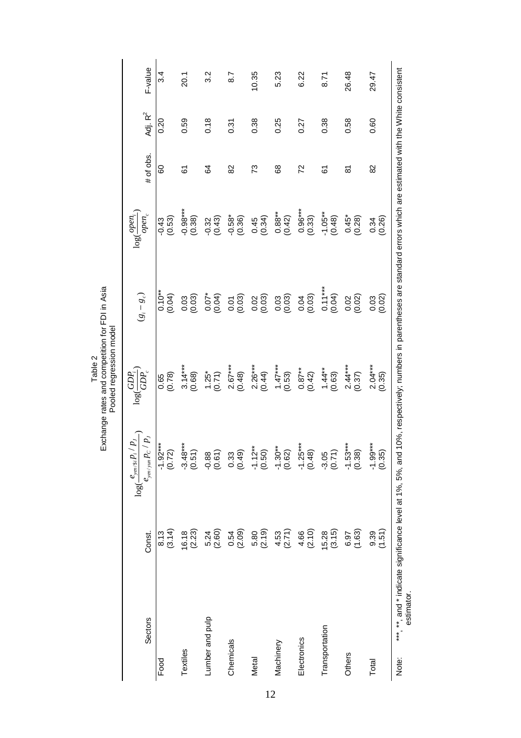Table 2<br>Exchange rates and competition for FDI in Asia<br>Pooled regression model Exchange rates and competition for FDI in Asia Pooled regression model

|                                                                                  |                     | $P_J$<br>$\log(\frac{e_{\textit{ym}}/\textit{Si}}{e})$ | $GDP_i$<br>log(                             | $(g_i - g_c)$                                                                                               | $\log(\frac{open_i}{\cdot})$ |               |            |         |
|----------------------------------------------------------------------------------|---------------------|--------------------------------------------------------|---------------------------------------------|-------------------------------------------------------------------------------------------------------------|------------------------------|---------------|------------|---------|
| Sectors                                                                          | Const.              | $\overline{p}_j$<br>$e_{\rm {sym}/{\rm {sym}}}P_C$ .   | $\overline{GP}$                             |                                                                                                             | $open_{c}$                   | # of obs.     | Adj. $R^2$ | F-value |
| Food                                                                             | 8.13<br>0.14)       | $(7.0)$<br>$**$ -78.1-                                 | $\begin{array}{c} 0.65 \\ 0.78 \end{array}$ | $\frac{0.10^{**}}{0.04}$                                                                                    | (0.53)<br>$-0.43$            | 80            | 0.20       | 3.4     |
| Textiles                                                                         | (2.23)<br>16.18     | $-3.48***$<br>(0.51)                                   | $3.14***$<br>(0.68)                         | $\begin{array}{c} 0.03 \\ 0.03 \end{array}$                                                                 | $-0.98***$<br>(0.38)         | 67            | 0.59       | 20.1    |
| Lumber and pulp                                                                  | (2.60)<br>5.24      | (0.61)<br>$-0.88$                                      | $1.25$ *<br>(0.71)                          |                                                                                                             | (0.43)<br>$-0.32$            | 84            | 0.18       | 3.2     |
| Chemicals                                                                        | (2.09)<br>0.54      | (0.49)<br>0.33                                         | $2.67***$<br>(0.48)                         | $0.07$<br>$0.04$<br>$0.05$<br>$0.03$<br>$0.03$<br>$0.03$                                                    | $-0.58*$<br>(0.36)           | 82            | 0.31       | 8.7     |
| Metal                                                                            | 5.80<br>(2.19)      | $-1.12**$<br>(0.50)                                    | $2.26***$<br>(0.44)                         |                                                                                                             | (0.34)                       | 73            | 0.38       | 10.35   |
| Machinery                                                                        | $4,53$<br>(2.71)    | $-1.30**$<br>(0.62)                                    | $1.47***$<br>(0.53)                         | $\begin{array}{c} 0.03 \\ 0.03 \end{array}$                                                                 | $0.88**$<br>(0.42)           | 68            | 0.25       | 5.23    |
| Electronics                                                                      | $4,66$<br>(2.10)    | $-1.25***$<br>(0.48)                                   | $0.87**$<br>(0.42)                          | $0.04$<br>$(0.03)$<br>$0.1$ ***<br>$(0.04)$<br>$(0.04)$                                                     | $0.96***$<br>(0.33)          | 72            | 0.27       | 6.22    |
| Transportation                                                                   | $15.28$<br>$(3.15)$ | $-3.05$<br>$(0.71)$                                    | $1.44**$<br>(0.63)                          |                                                                                                             | $-1.05***$<br>(0.48)         | 61            | 0.38       | 8.71    |
| Others                                                                           | (1.63)<br>6.97      | $-1.53***$<br>(0.38)                                   | $2.44***$<br>(0.37)                         | $0.02$<br>$(0.02)$                                                                                          | $(0.45^*$<br>$(0.28)$        | ౚ             | 0.58       | 26.48   |
| Total                                                                            | (1.51)<br>9.39      | $-1.99***$<br>(0.35)                                   | $2.04***$<br>(0.35)                         | $0.03$<br>$(0.02)$                                                                                          | (0.26)<br>0.34               | $\frac{2}{8}$ | 0.60       | 29.47   |
| ***, **, and * indicate significance level at 1%, 5%, and<br>estimator.<br>Note: |                     |                                                        |                                             | 10%, respectively; numbers in parentheses are standard errors which are estimated with the White consistent |                              |               |            |         |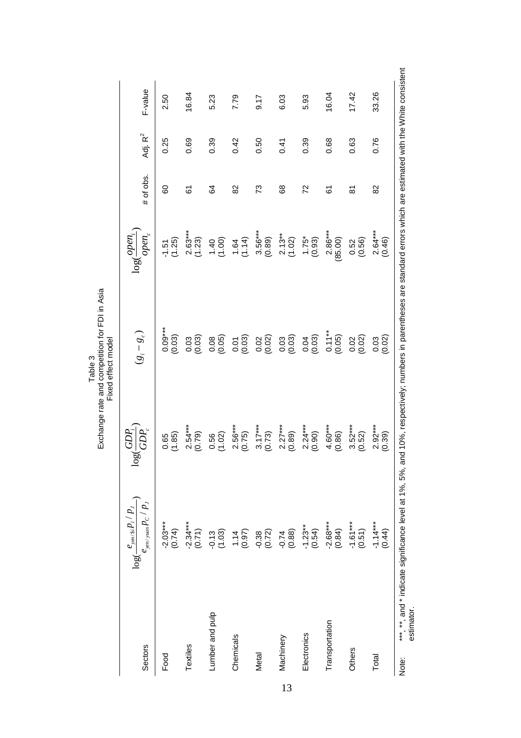| Sectors             | $\log(\frac{e_{\textit{yen/Si}} P_i / P_J}{e_{\textit{yen/yuan}} P_C / P_J})$                                                                                         | GDP;<br>log              | $(g_i - g_c)$                               | $open_c$<br>$\log(\frac{open}{\cdot})$ | # of obs. | Adj. $R^2$ | F-value |
|---------------------|-----------------------------------------------------------------------------------------------------------------------------------------------------------------------|--------------------------|---------------------------------------------|----------------------------------------|-----------|------------|---------|
| Food                | $-2.03***$<br>(0.74)                                                                                                                                                  | (1.85)                   | $0.09***$<br>(0.03)                         | (1.25)<br>$-1.51$                      | 80        | 0.25       | 2.50    |
| Textiles            | $-2.34***$<br>(0.71)                                                                                                                                                  | $2.54***$<br>(0.79)      | $\begin{array}{c} 0.03 \\ 0.03 \end{array}$ | $2.63***$<br>(1.23)                    | 6         | 0.69       | 16.84   |
| Lumber and pulp     | $-0.13$<br>(1.03)                                                                                                                                                     | $\frac{0.56}{(1.02)}$    | (0.05)                                      | (1.40)                                 | 84        | 0.39       | 5.23    |
| Chemicals           | (0.97)                                                                                                                                                                | $2.56***$<br>(0.75)      | $0.07$<br>$(0.03)$                          | (1.14)                                 | 82        | 0.42       | 7.79    |
| Metal               | $-0.38$<br>$(0.72)$                                                                                                                                                   | $\frac{3.17***}{(0.73)}$ | $0.02$<br>$(0.02)$                          | $3.56***$<br>(0.89)                    | 73        | 0.50       | 9.17    |
| Machinery           | $-0.74$<br>$(0.88)$                                                                                                                                                   | $2.27***$<br>(0.89)      | $0.03$<br>$(0.03)$                          | $2.13***$<br>(1.02)                    | 68        | 0.41       | 6.03    |
| Electronics         | $-1.23**$<br>(0.54)                                                                                                                                                   | $2.24***$<br>(0.90)      | $0.04$<br>$(0.03)$                          | (6.93)                                 | 72        | 0.39       | 5.93    |
| Transportation      | $-2.68***$<br>(0.84)                                                                                                                                                  | $4.60***$<br>(0.86)      | $\frac{0.11***}{(0.05)}$                    | $2.86***$<br>(85.00)                   | 67        | 0.68       | 16.04   |
| Others              | $-1.61***$<br>(0.51)                                                                                                                                                  | $3.52***$<br>(0.52)      | $0.02$<br>$(0.02)$                          | (0.56)<br>0.52                         | 5         | 0.63       | 17.42   |
| Total               | (0.44)                                                                                                                                                                | $2.92***$<br>(0.39)      | $0.03$<br>$(0.02)$                          | $2.64***$<br>(0.46)                    | 82        | 0.76       | 33.26   |
| estimator.<br>Note: | ***, **, and * indicate significance level at 1%, 5%, and 10%, respectively; numbers in parentheses are standard errors which are estimated with the White consistent |                          |                                             |                                        |           |            |         |

13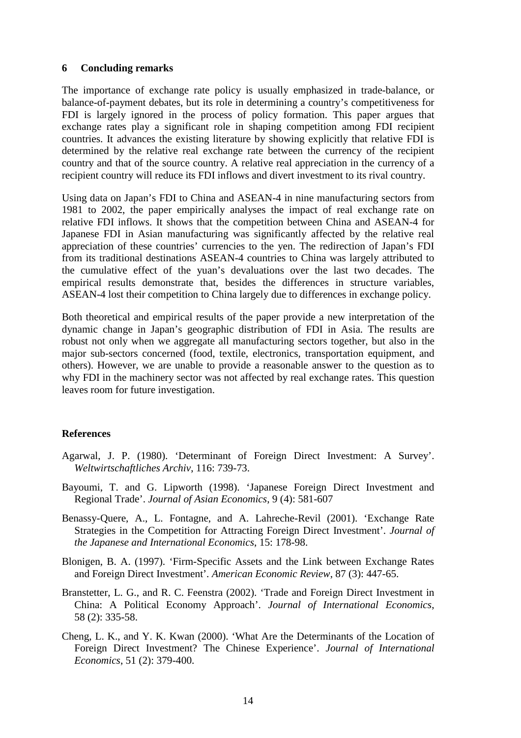#### **6 Concluding remarks**

The importance of exchange rate policy is usually emphasized in trade-balance, or balance-of-payment debates, but its role in determining a country's competitiveness for FDI is largely ignored in the process of policy formation. This paper argues that exchange rates play a significant role in shaping competition among FDI recipient countries. It advances the existing literature by showing explicitly that relative FDI is determined by the relative real exchange rate between the currency of the recipient country and that of the source country. A relative real appreciation in the currency of a recipient country will reduce its FDI inflows and divert investment to its rival country.

Using data on Japan's FDI to China and ASEAN-4 in nine manufacturing sectors from 1981 to 2002, the paper empirically analyses the impact of real exchange rate on relative FDI inflows. It shows that the competition between China and ASEAN-4 for Japanese FDI in Asian manufacturing was significantly affected by the relative real appreciation of these countries' currencies to the yen. The redirection of Japan's FDI from its traditional destinations ASEAN-4 countries to China was largely attributed to the cumulative effect of the yuan's devaluations over the last two decades. The empirical results demonstrate that, besides the differences in structure variables, ASEAN-4 lost their competition to China largely due to differences in exchange policy.

Both theoretical and empirical results of the paper provide a new interpretation of the dynamic change in Japan's geographic distribution of FDI in Asia. The results are robust not only when we aggregate all manufacturing sectors together, but also in the major sub-sectors concerned (food, textile, electronics, transportation equipment, and others). However, we are unable to provide a reasonable answer to the question as to why FDI in the machinery sector was not affected by real exchange rates. This question leaves room for future investigation.

#### **References**

- Agarwal, J. P. (1980). 'Determinant of Foreign Direct Investment: A Survey'. *Weltwirtschaftliches Archiv*, 116: 739-73.
- Bayoumi, T. and G. Lipworth (1998). 'Japanese Foreign Direct Investment and Regional Trade'. *Journal of Asian Economics*, 9 (4): 581-607
- Benassy-Quere, A., L. Fontagne, and A. Lahreche-Revil (2001). 'Exchange Rate Strategies in the Competition for Attracting Foreign Direct Investment'. *Journal of the Japanese and International Economics*, 15: 178-98.
- Blonigen, B. A. (1997). 'Firm-Specific Assets and the Link between Exchange Rates and Foreign Direct Investment'. *American Economic Review*, 87 (3): 447-65.
- Branstetter, L. G., and R. C. Feenstra (2002). 'Trade and Foreign Direct Investment in China: A Political Economy Approach'. *Journal of International Economics*, 58 (2): 335-58.
- Cheng, L. K., and Y. K. Kwan (2000). 'What Are the Determinants of the Location of Foreign Direct Investment? The Chinese Experience'. *Journal of International Economics*, 51 (2): 379-400.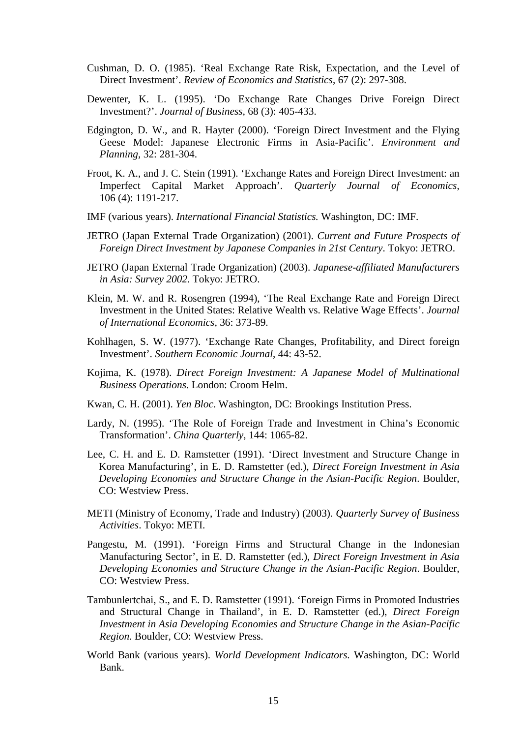- Cushman, D. O. (1985). 'Real Exchange Rate Risk, Expectation, and the Level of Direct Investment'. *Review of Economics and Statistics*, 67 (2): 297-308.
- Dewenter, K. L. (1995). 'Do Exchange Rate Changes Drive Foreign Direct Investment?'. *Journal of Business*, 68 (3): 405-433.
- Edgington, D. W., and R. Hayter (2000). 'Foreign Direct Investment and the Flying Geese Model: Japanese Electronic Firms in Asia-Pacific'. *Environment and Planning,* 32: 281-304.
- Froot, K. A., and J. C. Stein (1991). 'Exchange Rates and Foreign Direct Investment: an Imperfect Capital Market Approach'. *Quarterly Journal of Economics*, 106 (4): 1191-217.
- IMF (various years). *International Financial Statistics.* Washington, DC: IMF.
- JETRO (Japan External Trade Organization) (2001). *Current and Future Prospects of Foreign Direct Investment by Japanese Companies in 21st Century*. Tokyo: JETRO.
- JETRO (Japan External Trade Organization) (2003). *Japanese-affiliated Manufacturers in Asia: Survey 2002*. Tokyo: JETRO.
- Klein, M. W. and R. Rosengren (1994), 'The Real Exchange Rate and Foreign Direct Investment in the United States: Relative Wealth vs. Relative Wage Effects'. *Journal of International Economics*, 36: 373-89.
- Kohlhagen, S. W. (1977). 'Exchange Rate Changes, Profitability, and Direct foreign Investment'. *Southern Economic Journal*, 44: 43-52.
- Kojima, K. (1978). *Direct Foreign Investment: A Japanese Model of Multinational Business Operations*. London: Croom Helm.
- Kwan, C. H. (2001). *Yen Bloc*. Washington, DC: Brookings Institution Press.
- Lardy, N. (1995). 'The Role of Foreign Trade and Investment in China's Economic Transformation'. *China Quarterly*, 144: 1065-82.
- Lee, C. H. and E. D. Ramstetter (1991). 'Direct Investment and Structure Change in Korea Manufacturing', in E. D. Ramstetter (ed.), *Direct Foreign Investment in Asia Developing Economies and Structure Change in the Asian-Pacific Region*. Boulder, CO: Westview Press.
- METI (Ministry of Economy, Trade and Industry) (2003). *Quarterly Survey of Business Activities*. Tokyo: METI.
- Pangestu, M. (1991). 'Foreign Firms and Structural Change in the Indonesian Manufacturing Sector', in E. D. Ramstetter (ed.), *Direct Foreign Investment in Asia Developing Economies and Structure Change in the Asian-Pacific Region*. Boulder, CO: Westview Press.
- Tambunlertchai, S., and E. D. Ramstetter (1991). 'Foreign Firms in Promoted Industries and Structural Change in Thailand', in E. D. Ramstetter (ed.), *Direct Foreign Investment in Asia Developing Economies and Structure Change in the Asian-Pacific Region*. Boulder, CO: Westview Press.
- World Bank (various years). *World Development Indicators.* Washington, DC: World Bank.